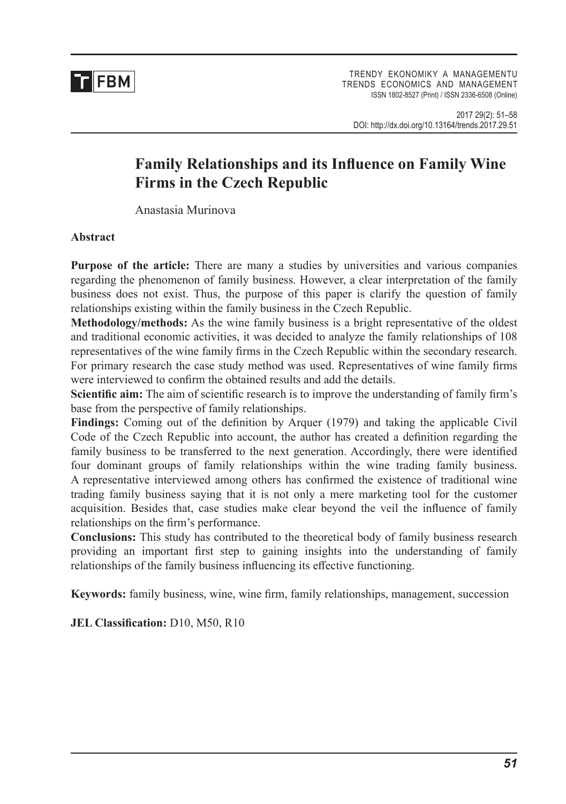

# **Family Relationships and its Influence on Family Wine Firms in the Czech Republic**

Anastasia Murinova

### **Abstract**

**Purpose of the article:** There are many a studies by universities and various companies regarding the phenomenon of family business. However, a clear interpretation of the family business does not exist. Thus, the purpose of this paper is clarify the question of family relationships existing within the family business in the Czech Republic.

**Methodology/methods:** As the wine family business is a bright representative of the oldest and traditional economic activities, it was decided to analyze the family relationships of 108 representatives of the wine family firms in the Czech Republic within the secondary research. For primary research the case study method was used. Representatives of wine family firms were interviewed to confirm the obtained results and add the details.

**Scientific aim:** The aim of scientific research is to improve the understanding of family firm's base from the perspective of family relationships.

**Findings:** Coming out of the definition by Arquer (1979) and taking the applicable Civil Code of the Czech Republic into account, the author has created a definition regarding the family business to be transferred to the next generation. Accordingly, there were identified four dominant groups of family relationships within the wine trading family business. A representative interviewed among others has confirmed the existence of traditional wine trading family business saying that it is not only a mere marketing tool for the customer acquisition. Besides that, case studies make clear beyond the veil the influence of family relationships on the firm's performance.

**Conclusions:** This study has contributed to the theoretical body of family business research providing an important first step to gaining insights into the understanding of family relationships of the family business influencing its effective functioning.

**Keywords:** family business, wine, wine firm, family relationships, management, succession

**JEL Classification:** D10, M50, R10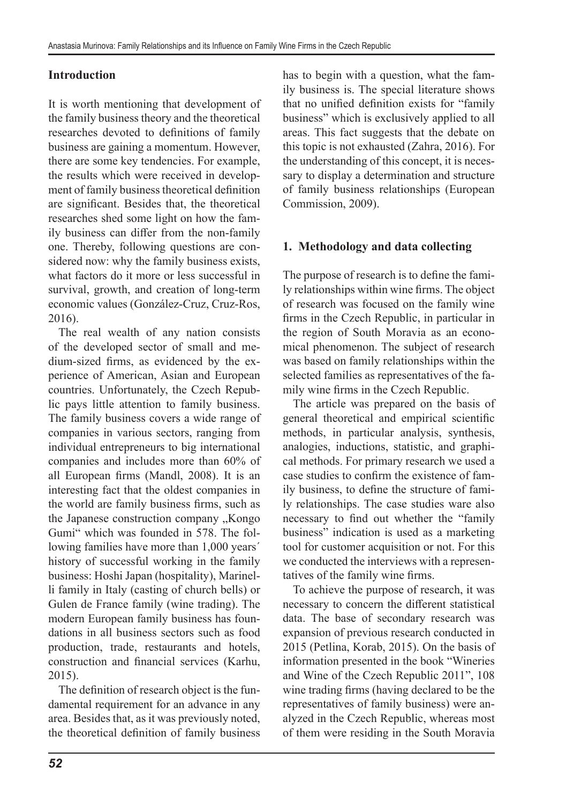# **Introduction**

It is worth mentioning that development of the family business theory and the theoretical researches devoted to definitions of family business are gaining a momentum. However, there are some key tendencies. For example, the results which were received in development of family business theoretical definition are significant. Besides that, the theoretical researches shed some light on how the family business can differ from the non-family one. Thereby, following questions are considered now: why the family business exists, what factors do it more or less successful in survival, growth, and creation of long-term economic values (González-Cruz, Cruz-Ros, 2016).

The real wealth of any nation consists of the developed sector of small and medium-sized firms, as evidenced by the experience of American, Asian and European countries. Unfortunately, the Czech Republic pays little attention to family business. The family business covers a wide range of companies in various sectors, ranging from individual entrepreneurs to big international companies and includes more than 60% of all European firms (Mandl, 2008). It is an interesting fact that the oldest companies in the world are family business firms, such as the Japanese construction company "Kongo Gumi" which was founded in 578. The following families have more than 1,000 years' history of successful working in the family business: Hoshi Japan (hospitality), Marinelli family in Italy (casting of church bells) or Gulen de France family (wine trading). The modern European family business has foundations in all business sectors such as food production, trade, restaurants and hotels, construction and financial services (Karhu, 2015).

The definition of research object is the fundamental requirement for an advance in any area. Besides that, as it was previously noted, the theoretical definition of family business has to begin with a question, what the family business is. The special literature shows that no unified definition exists for "family business" which is exclusively applied to all areas. This fact suggests that the debate on this topic is not exhausted (Zahra, 2016). For the understanding of this concept, it is necessary to display a determination and structure of family business relationships (European Commission, 2009).

# **1. Methodology and data collecting**

The purpose of research is to define the family relationships within wine firms. The object of research was focused on the family wine firms in the Czech Republic, in particular in the region of South Moravia as an economical phenomenon. The subject of research was based on family relationships within the selected families as representatives of the family wine firms in the Czech Republic.

The article was prepared on the basis of general theoretical and empirical scientific methods, in particular analysis, synthesis, analogies, inductions, statistic, and graphical methods. For primary research we used a case studies to confirm the existence of family business, to define the structure of family relationships. The case studies ware also necessary to find out whether the "family business" indication is used as a marketing tool for customer acquisition or not. For this we conducted the interviews with a representatives of the family wine firms.

To achieve the purpose of research, it was necessary to concern the different statistical data. The base of secondary research was expansion of previous research conducted in 2015 (Petlina, Korab, 2015). On the basis of information presented in the book "Wineries and Wine of the Czech Republic 2011", 108 wine trading firms (having declared to be the representatives of family business) were analyzed in the Czech Republic, whereas most of them were residing in the South Moravia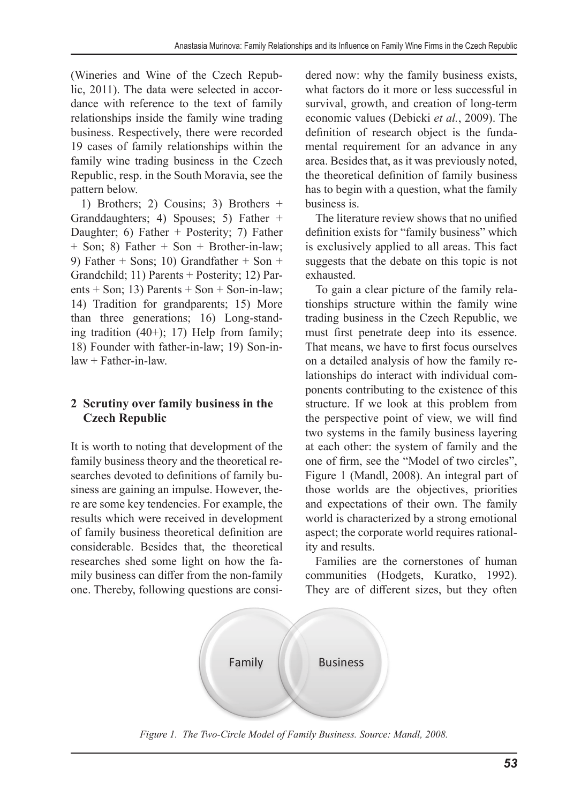(Wineries and Wine of the Czech Republic, 2011). The data were selected in accordance with reference to the text of family relationships inside the family wine trading business. Respectively, there were recorded 19 cases of family relationships within the family wine trading business in the Czech Republic, resp. in the South Moravia, see the pattern below.

1) Brothers; 2) Cousins; 3) Brothers + Granddaughters; 4) Spouses; 5) Father + Daughter; 6) Father + Posterity; 7) Father + Son; 8) Father + Son + Brother-in-law; 9) Father + Sons; 10) Grandfather + Son + Grandchild; 11) Parents + Posterity; 12) Parents + Son; 13) Parents + Son + Son-in-law; 14) Tradition for grandparents; 15) More than three generations; 16) Long-standing tradition (40+); 17) Help from family; 18) Founder with father-in-law; 19) Son-inlaw + Father-in-law.

### **2 Scrutiny over family business in the Czech Republic**

It is worth to noting that development of the family business theory and the theoretical researches devoted to definitions of family business are gaining an impulse. However, there are some key tendencies. For example, the results which were received in development of family business theoretical definition are considerable. Besides that, the theoretical researches shed some light on how the family business can differ from the non-family one. Thereby, following questions are considered now: why the family business exists, what factors do it more or less successful in survival, growth, and creation of long-term economic values (Debicki *et al.*, 2009). The definition of research object is the fundamental requirement for an advance in any area. Besides that, as it was previously noted, the theoretical definition of family business has to begin with a question, what the family business is.

The literature review shows that no unified definition exists for "family business" which is exclusively applied to all areas. This fact suggests that the debate on this topic is not exhausted.

To gain a clear picture of the family relationships structure within the family wine trading business in the Czech Republic, we must first penetrate deep into its essence. That means, we have to first focus ourselves on a detailed analysis of how the family relationships do interact with individual components contributing to the existence of this structure. If we look at this problem from the perspective point of view, we will find two systems in the family business layering at each other: the system of family and the one of firm, see the "Model of two circles", Figure 1 (Mandl, 2008). An integral part of those worlds are the objectives, priorities and expectations of their own. The family world is characterized by a strong emotional aspect; the corporate world requires rationality and results.

Families are the cornerstones of human communities (Hodgets, Kuratko, 1992). They are of different sizes, but they often



*Figure 1. The Two-Circle Model of Family Business. Source: Mandl, 2008.*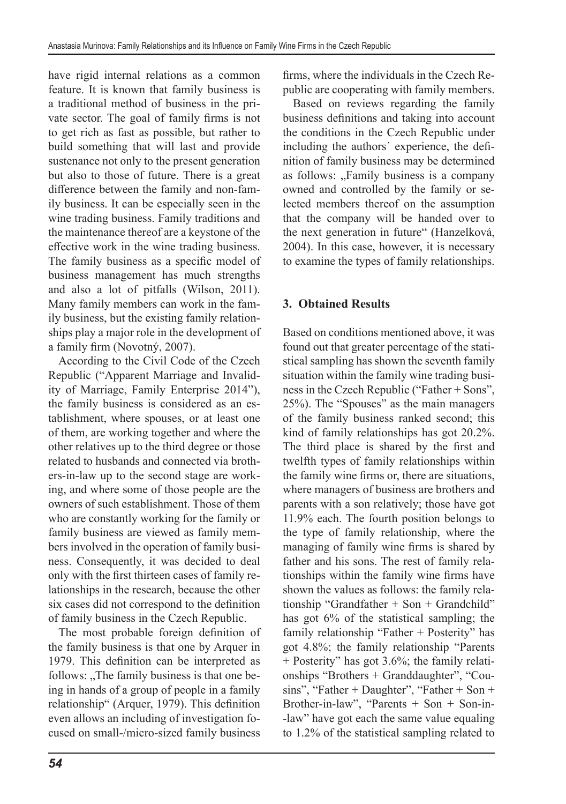have rigid internal relations as a common feature. It is known that family business is a traditional method of business in the private sector. The goal of family firms is not to get rich as fast as possible, but rather to build something that will last and provide sustenance not only to the present generation but also to those of future. There is a great difference between the family and non-family business. It can be especially seen in the wine trading business. Family traditions and the maintenance thereof are a keystone of the effective work in the wine trading business. The family business as a specific model of business management has much strengths and also a lot of pitfalls (Wilson, 2011). Many family members can work in the family business, but the existing family relationships play a major role in the development of a family firm (Novotný, 2007).

According to the Civil Code of the Czech Republic ("Apparent Marriage and Invalidity of Marriage, Family Enterprise 2014"), the family business is considered as an establishment, where spouses, or at least one of them, are working together and where the other relatives up to the third degree or those related to husbands and connected via brothers-in-law up to the second stage are working, and where some of those people are the owners of such establishment. Those of them who are constantly working for the family or family business are viewed as family members involved in the operation of family business. Consequently, it was decided to deal only with the first thirteen cases of family relationships in the research, because the other six cases did not correspond to the definition of family business in the Czech Republic.

The most probable foreign definition of the family business is that one by Arquer in 1979. This definition can be interpreted as follows: "The family business is that one being in hands of a group of people in a family relationship" (Arquer, 1979). This definition even allows an including of investigation focused on small-/micro-sized family business

firms, where the individuals in the Czech Republic are cooperating with family members.

Based on reviews regarding the family business definitions and taking into account the conditions in the Czech Republic under including the authors´ experience, the definition of family business may be determined as follows: "Family business is a company owned and controlled by the family or selected members thereof on the assumption that the company will be handed over to the next generation in future" (Hanzelková, 2004). In this case, however, it is necessary to examine the types of family relationships.

# **3. Obtained Results**

Based on conditions mentioned above, it was found out that greater percentage of the statistical sampling has shown the seventh family situation within the family wine trading business in the Czech Republic ("Father + Sons", 25%). The "Spouses" as the main managers of the family business ranked second; this kind of family relationships has got 20.2%. The third place is shared by the first and twelfth types of family relationships within the family wine firms or, there are situations, where managers of business are brothers and parents with a son relatively; those have got 11.9% each. The fourth position belongs to the type of family relationship, where the managing of family wine firms is shared by father and his sons. The rest of family relationships within the family wine firms have shown the values as follows: the family relationship "Grandfather + Son + Grandchild" has got 6% of the statistical sampling; the family relationship "Father + Posterity" has got 4.8%; the family relationship "Parents + Posterity" has got 3.6%; the family relationships "Brothers + Granddaughter", "Cousins", "Father + Daughter", "Father + Son + Brother-in-law", "Parents + Son + Son-in- -law" have got each the same value equaling to 1.2% of the statistical sampling related to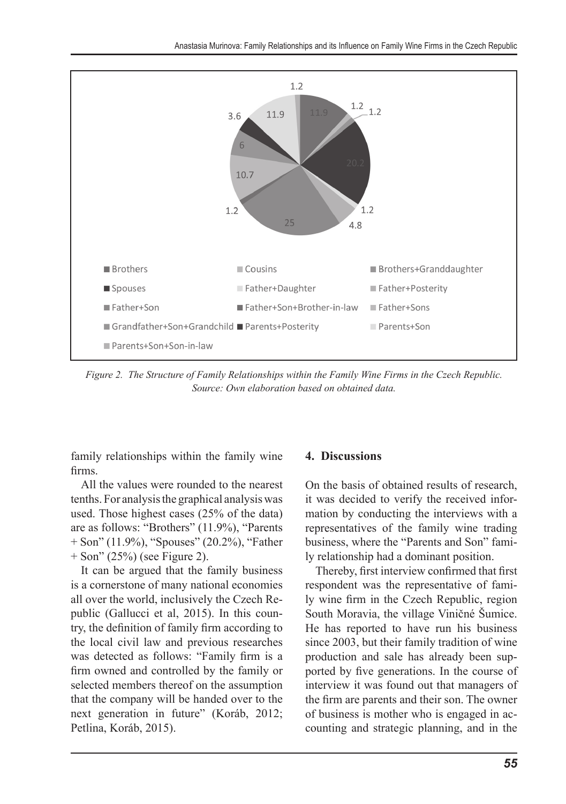

*Figure 2. The Structure of Family Relationships within the Family Wine Firms in the Czech Republic. Source: Own elaboration based on obtained data.*

family relationships within the family wine firms.

All the values were rounded to the nearest tenths. For analysis the graphical analysis was used. Those highest cases (25% of the data) are as follows: "Brothers" (11.9%), "Parents + Son" (11.9%), "Spouses" (20.2%), "Father  $+$  Son" (25%) (see Figure 2).

It can be argued that the family business is a cornerstone of many national economies all over the world, inclusively the Czech Republic (Gallucci et al, 2015). In this country, the definition of family firm according to the local civil law and previous researches was detected as follows: "Family firm is a firm owned and controlled by the family or selected members thereof on the assumption that the company will be handed over to the next generation in future" (Koráb, 2012; Petlina, Koráb, 2015).

#### **4. Discussions**

On the basis of obtained results of research, it was decided to verify the received information by conducting the interviews with a representatives of the family wine trading business, where the "Parents and Son" family relationship had a dominant position.

Thereby, first interview confirmed that first respondent was the representative of family wine firm in the Czech Republic, region South Moravia, the village Viničné Šumice. He has reported to have run his business since 2003, but their family tradition of wine production and sale has already been supported by five generations. In the course of interview it was found out that managers of the firm are parents and their son. The owner of business is mother who is engaged in accounting and strategic planning, and in the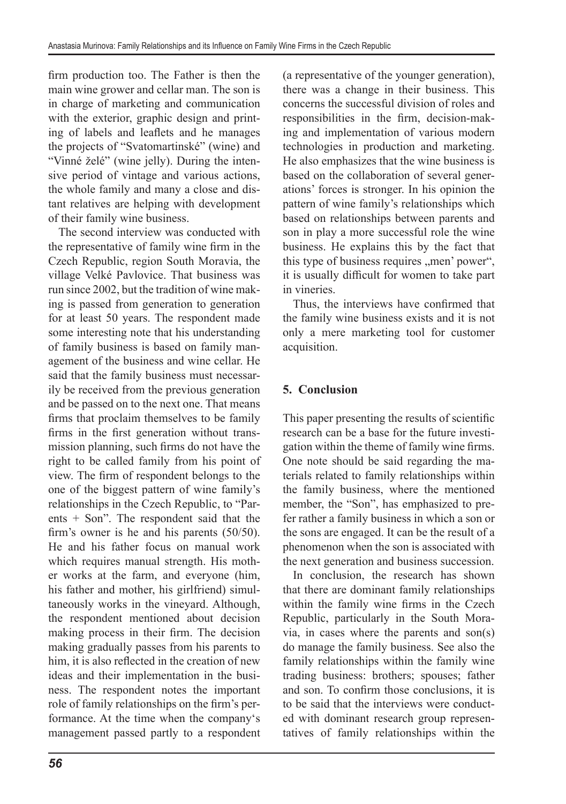firm production too. The Father is then the main wine grower and cellar man. The son is in charge of marketing and communication with the exterior, graphic design and printing of labels and leaflets and he manages the projects of "Svatomartinské" (wine) and "Vinné želé" (wine jelly). During the intensive period of vintage and various actions, the whole family and many a close and distant relatives are helping with development of their family wine business.

The second interview was conducted with the representative of family wine firm in the Czech Republic, region South Moravia, the village Velké Pavlovice. That business was run since 2002, but the tradition of wine making is passed from generation to generation for at least 50 years. The respondent made some interesting note that his understanding of family business is based on family management of the business and wine cellar. He said that the family business must necessarily be received from the previous generation and be passed on to the next one. That means firms that proclaim themselves to be family firms in the first generation without transmission planning, such firms do not have the right to be called family from his point of view. The firm of respondent belongs to the one of the biggest pattern of wine family's relationships in the Czech Republic, to "Parents + Son". The respondent said that the firm's owner is he and his parents (50/50). He and his father focus on manual work which requires manual strength. His mother works at the farm, and everyone (him, his father and mother, his girlfriend) simultaneously works in the vineyard. Although, the respondent mentioned about decision making process in their firm. The decision making gradually passes from his parents to him, it is also reflected in the creation of new ideas and their implementation in the business. The respondent notes the important role of family relationships on the firm's performance. At the time when the company's management passed partly to a respondent

(a representative of the younger generation), there was a change in their business. This concerns the successful division of roles and responsibilities in the firm, decision-making and implementation of various modern technologies in production and marketing. He also emphasizes that the wine business is based on the collaboration of several generations' forces is stronger. In his opinion the pattern of wine family's relationships which based on relationships between parents and son in play a more successful role the wine business. He explains this by the fact that this type of business requires "men' power", it is usually difficult for women to take part in vineries.

Thus, the interviews have confirmed that the family wine business exists and it is not only a mere marketing tool for customer acquisition.

# **5. Conclusion**

This paper presenting the results of scientific research can be a base for the future investigation within the theme of family wine firms. One note should be said regarding the materials related to family relationships within the family business, where the mentioned member, the "Son", has emphasized to prefer rather a family business in which a son or the sons are engaged. It can be the result of a phenomenon when the son is associated with the next generation and business succession.

In conclusion, the research has shown that there are dominant family relationships within the family wine firms in the Czech Republic, particularly in the South Moravia, in cases where the parents and son(s) do manage the family business. See also the family relationships within the family wine trading business: brothers; spouses; father and son. To confirm those conclusions, it is to be said that the interviews were conducted with dominant research group representatives of family relationships within the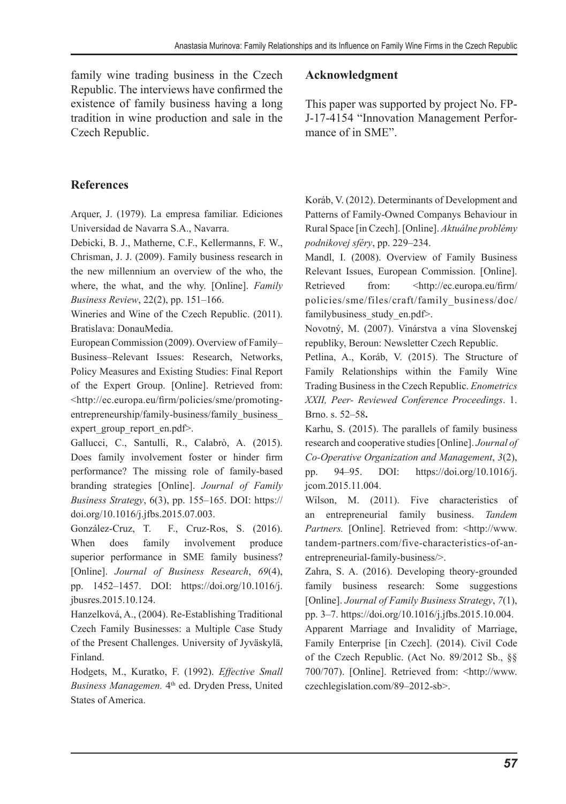family wine trading business in the Czech Republic. The interviews have confirmed the existence of family business having a long tradition in wine production and sale in the Czech Republic.

### **References**

Arquer, J. (1979). La empresa familiar. Ediciones Universidad de Navarra S.A., Navarra.

Debicki, B. J., Matherne, C.F., Kellermanns, F. W., Chrisman, J. J. (2009). Family business research in the new millennium an overview of the who, the where, the what, and the why. [Online]. *Family Business Review*, 22(2), pp. 151–166.

Wineries and Wine of the Czech Republic. (2011). Bratislava: DonauMedia.

European Commission (2009). Overview of Family– Business–Relevant Issues: Research, Networks, Policy Measures and Existing Studies: Final Report of the Expert Group. [Online]. Retrieved from: <http://ec.europa.eu/firm/policies/sme/promotingentrepreneurship/family-business/family\_business\_ expert\_group\_report\_en.pdf>.

Gallucci, C., Santulli, R., Calabrò, A. (2015). Does family involvement foster or hinder firm performance? The missing role of family-based branding strategies [Online]. *Journal of Family Business Strategy*, 6(3), pp. 155–165. DOI: https:// doi.org/10.1016/j.jfbs.2015.07.003.

González-Cruz, T. F., Cruz-Ros, S. (2016). When does family involvement produce superior performance in SME family business? [Online]. *Journal of Business Research*, *69*(4), pp. 1452–1457. DOI: https://doi.org/10.1016/j. jbusres.2015.10.124.

Hanzelková, A., (2004). Re-Establishing Traditional Czech Family Businesses: a Multiple Case Study of the Present Challenges. University of Jyväskylä, Finland.

Hodgets, M., Kuratko, F. (1992). *Effective Small*  Business Managemen. 4<sup>th</sup> ed. Dryden Press, United States of America.

### **Acknowledgment**

This paper was supported by project No. FP-J-17-4154 "Innovation Management Performance of in SME".

Koráb, V. (2012). Determinants of Development and Patterns of Family-Owned Companys Behaviour in Rural Space [in Czech]. [Online]. *Aktuálne problémy podnikovej sféry*, pp. 229–234.

Mandl, I. (2008). Overview of Family Business Relevant Issues, European Commission. [Online]. Retrieved from: <http://ec.europa.eu/firm/ policies/sme/files/craft/family\_business/doc/ familybusiness study en.pdf>.

Novotný, M. (2007). Vinárstva a vína Slovenskej republiky, Beroun: Newsletter Czech Republic.

Petlina, A., Koráb, V. (2015). The Structure of Family Relationships within the Family Wine Trading Business in the Czech Republic. *Enometrics XXII, Peer- Reviewed Conference Proceedings*. 1. Brno. s. 52–58**.**

Karhu, S. (2015). The parallels of family business research and cooperative studies [Online]. *Journal of Co-Operative Organization and Management*, *3*(2), pp. 94–95. DOI: https://doi.org/10.1016/j. jcom.2015.11.004.

Wilson, M. (2011). Five characteristics of an entrepreneurial family business. *Tandem*  Partners. [Online]. Retrieved from: <http://www. tandem-partners.com/five-characteristics-of-anentrepreneurial-family-business/>.

Zahra, S. A. (2016). Developing theory-grounded family business research: Some suggestions [Online]. *Journal of Family Business Strategy*, *7*(1), pp. 3–7. https://doi.org/10.1016/j.jfbs.2015.10.004.

Apparent Marriage and Invalidity of Marriage, Family Enterprise [in Czech]. (2014). Civil Code of the Czech Republic. (Act No. 89/2012 Sb., §§ 700/707). [Online]. Retrieved from: <http://www. czechlegislation.com/89–2012-sb>.